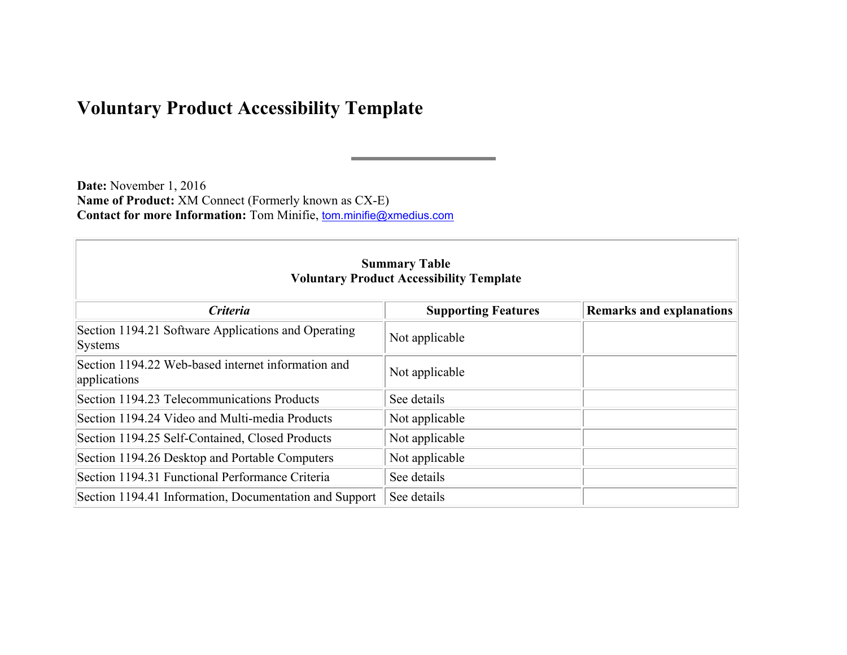## **Voluntary Product Accessibility Template**

**Date:** November 1, 2016 **Name of Product:** XM Connect (Formerly known as CX-E) **Contact for more Information:** Tom Minifie, tom.minifie@xmedius.com

| <b>Summary Table</b><br><b>Voluntary Product Accessibility Template</b> |                            |                                 |  |
|-------------------------------------------------------------------------|----------------------------|---------------------------------|--|
| <b>Criteria</b>                                                         | <b>Supporting Features</b> | <b>Remarks and explanations</b> |  |
| Section 1194.21 Software Applications and Operating<br>Systems          | Not applicable             |                                 |  |
| Section 1194.22 Web-based internet information and<br>applications      | Not applicable             |                                 |  |
| Section 1194.23 Telecommunications Products                             | See details                |                                 |  |
| Section 1194.24 Video and Multi-media Products                          | Not applicable             |                                 |  |
| Section 1194.25 Self-Contained, Closed Products                         | Not applicable             |                                 |  |
| Section 1194.26 Desktop and Portable Computers                          | Not applicable             |                                 |  |
| Section 1194.31 Functional Performance Criteria                         | See details                |                                 |  |
| Section 1194.41 Information, Documentation and Support                  | See details                |                                 |  |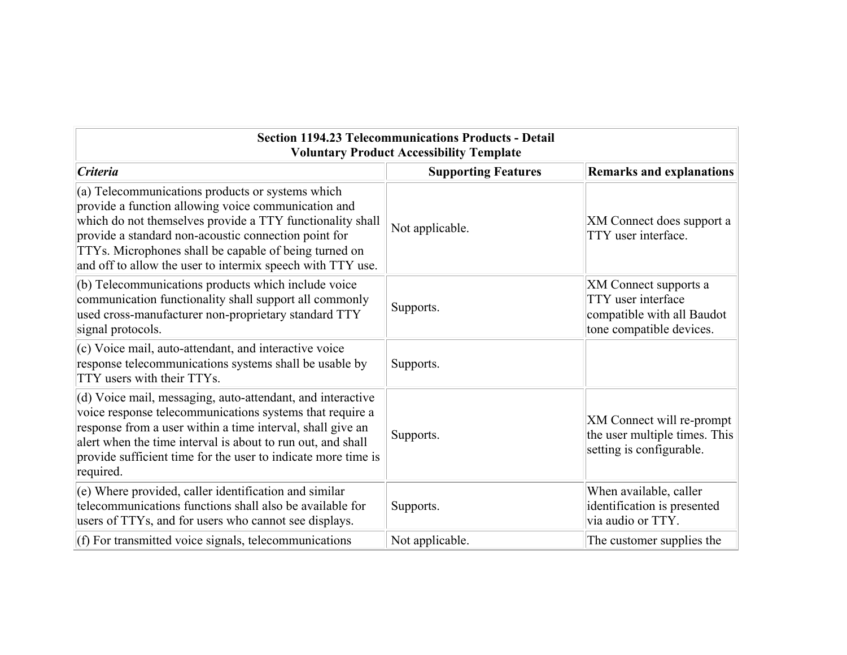| <b>Section 1194.23 Telecommunications Products - Detail</b><br><b>Voluntary Product Accessibility Template</b>                                                                                                                                                                                                                                      |                            |                                                                                                       |
|-----------------------------------------------------------------------------------------------------------------------------------------------------------------------------------------------------------------------------------------------------------------------------------------------------------------------------------------------------|----------------------------|-------------------------------------------------------------------------------------------------------|
| <i><b>Criteria</b></i>                                                                                                                                                                                                                                                                                                                              | <b>Supporting Features</b> | <b>Remarks and explanations</b>                                                                       |
| (a) Telecommunications products or systems which<br>provide a function allowing voice communication and<br>which do not themselves provide a TTY functionality shall<br>provide a standard non-acoustic connection point for<br>TTYs. Microphones shall be capable of being turned on<br>and off to allow the user to intermix speech with TTY use. | Not applicable.            | XM Connect does support a<br>TTY user interface.                                                      |
| (b) Telecommunications products which include voice<br>communication functionality shall support all commonly<br>used cross-manufacturer non-proprietary standard TTY<br>signal protocols.                                                                                                                                                          | Supports.                  | XM Connect supports a<br>TTY user interface<br>compatible with all Baudot<br>tone compatible devices. |
| (c) Voice mail, auto-attendant, and interactive voice<br>response telecommunications systems shall be usable by<br>TTY users with their TTYs.                                                                                                                                                                                                       | Supports.                  |                                                                                                       |
| (d) Voice mail, messaging, auto-attendant, and interactive<br>voice response telecommunications systems that require a<br>response from a user within a time interval, shall give an<br>alert when the time interval is about to run out, and shall<br>provide sufficient time for the user to indicate more time is<br>required.                   | Supports.                  | XM Connect will re-prompt<br>the user multiple times. This<br>setting is configurable.                |
| (e) Where provided, caller identification and similar<br>telecommunications functions shall also be available for<br>users of TTYs, and for users who cannot see displays.                                                                                                                                                                          | Supports.                  | When available, caller<br>identification is presented<br>via audio or TTY.                            |
| $(f)$ For transmitted voice signals, telecommunications                                                                                                                                                                                                                                                                                             | Not applicable.            | The customer supplies the                                                                             |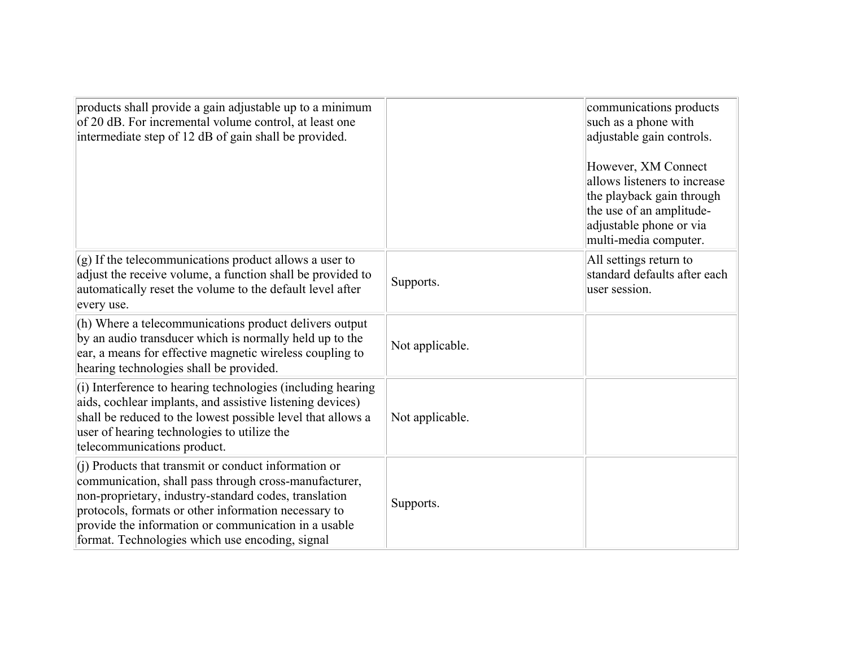| products shall provide a gain adjustable up to a minimum<br>of 20 dB. For incremental volume control, at least one<br>intermediate step of 12 dB of gain shall be provided.                                                                                                                                                               |                 | communications products<br>such as a phone with<br>adjustable gain controls.<br>However, XM Connect<br>allows listeners to increase<br>the playback gain through<br>the use of an amplitude-<br>adjustable phone or via<br>multi-media computer. |
|-------------------------------------------------------------------------------------------------------------------------------------------------------------------------------------------------------------------------------------------------------------------------------------------------------------------------------------------|-----------------|--------------------------------------------------------------------------------------------------------------------------------------------------------------------------------------------------------------------------------------------------|
| $(g)$ If the telecommunications product allows a user to<br>adjust the receive volume, a function shall be provided to<br>automatically reset the volume to the default level after<br>every use.                                                                                                                                         | Supports.       | All settings return to<br>standard defaults after each<br>user session.                                                                                                                                                                          |
| (h) Where a telecommunications product delivers output<br>by an audio transducer which is normally held up to the<br>ear, a means for effective magnetic wireless coupling to<br>hearing technologies shall be provided.                                                                                                                  | Not applicable. |                                                                                                                                                                                                                                                  |
| (i) Interference to hearing technologies (including hearing<br>aids, cochlear implants, and assistive listening devices)<br>shall be reduced to the lowest possible level that allows a<br>user of hearing technologies to utilize the<br>telecommunications product.                                                                     | Not applicable. |                                                                                                                                                                                                                                                  |
| (j) Products that transmit or conduct information or<br>communication, shall pass through cross-manufacturer,<br>non-proprietary, industry-standard codes, translation<br>protocols, formats or other information necessary to<br>provide the information or communication in a usable<br>format. Technologies which use encoding, signal | Supports.       |                                                                                                                                                                                                                                                  |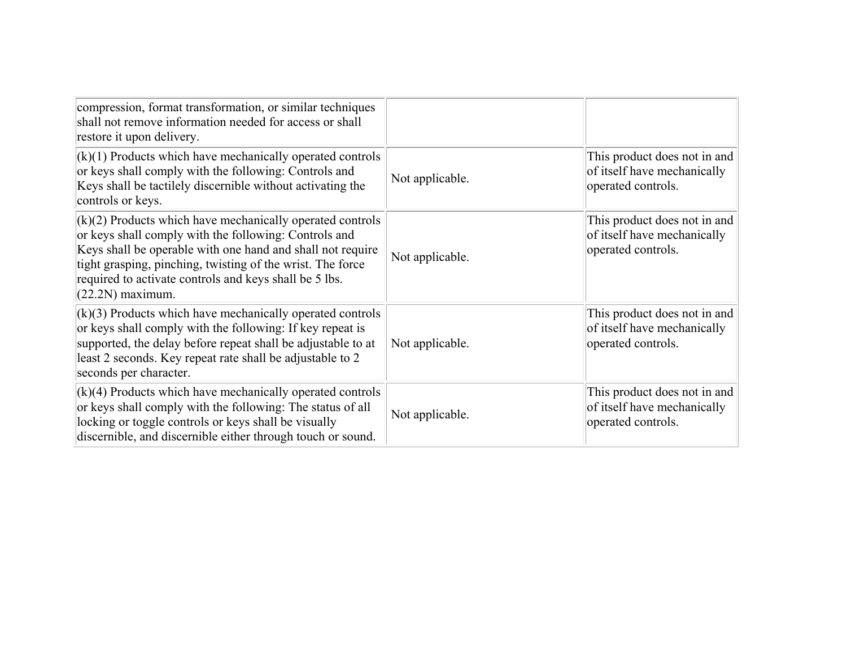| compression, format transformation, or similar techniques<br>shall not remove information needed for access or shall<br>restore it upon delivery.                                                                                                                                                                                |                 |                                                                                   |
|----------------------------------------------------------------------------------------------------------------------------------------------------------------------------------------------------------------------------------------------------------------------------------------------------------------------------------|-----------------|-----------------------------------------------------------------------------------|
| $(k)(1)$ Products which have mechanically operated controls<br>or keys shall comply with the following: Controls and<br>Keys shall be tactilely discernible without activating the<br>controls or keys.                                                                                                                          | Not applicable. | This product does not in and<br>of itself have mechanically<br>operated controls. |
| $(k)(2)$ Products which have mechanically operated controls<br>or keys shall comply with the following: Controls and<br>Keys shall be operable with one hand and shall not require<br>tight grasping, pinching, twisting of the wrist. The force<br>required to activate controls and keys shall be 5 lbs.<br>$(22.2N)$ maximum. | Not applicable. | This product does not in and<br>of itself have mechanically<br>operated controls. |
| $(k)(3)$ Products which have mechanically operated controls<br>or keys shall comply with the following: If key repeat is<br>supported, the delay before repeat shall be adjustable to at<br>least 2 seconds. Key repeat rate shall be adjustable to 2<br>seconds per character.                                                  | Not applicable. | This product does not in and<br>of itself have mechanically<br>operated controls. |
| $(k)(4)$ Products which have mechanically operated controls<br>or keys shall comply with the following: The status of all<br>locking or toggle controls or keys shall be visually<br>discernible, and discernible either through touch or sound.                                                                                 | Not applicable. | This product does not in and<br>of itself have mechanically<br>operated controls. |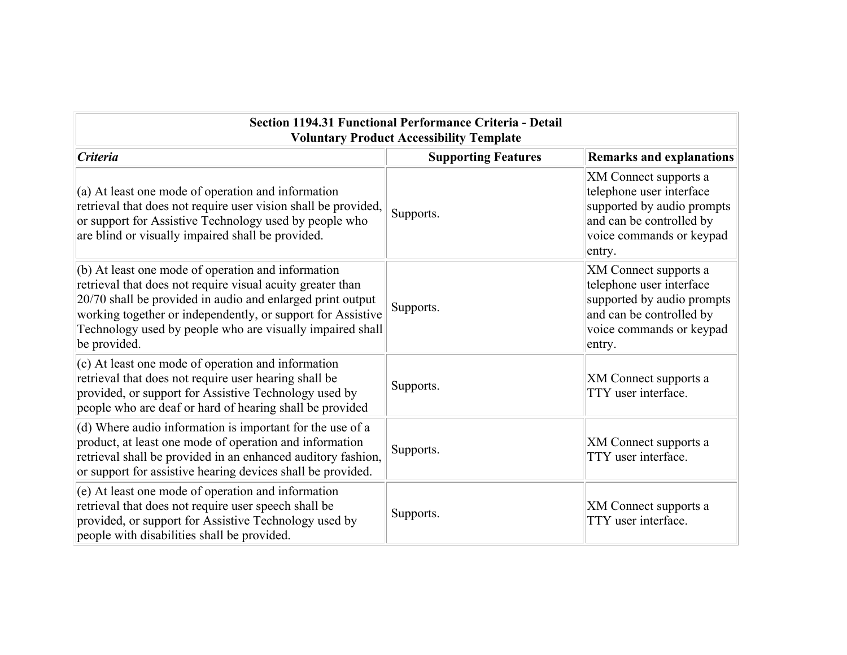| Section 1194.31 Functional Performance Criteria - Detail<br><b>Voluntary Product Accessibility Template</b>                                                                                                                                                                                                                  |                            |                                                                                                                                                   |
|------------------------------------------------------------------------------------------------------------------------------------------------------------------------------------------------------------------------------------------------------------------------------------------------------------------------------|----------------------------|---------------------------------------------------------------------------------------------------------------------------------------------------|
| <i><b>Criteria</b></i>                                                                                                                                                                                                                                                                                                       | <b>Supporting Features</b> | <b>Remarks and explanations</b>                                                                                                                   |
| $(a)$ At least one mode of operation and information<br>retrieval that does not require user vision shall be provided,<br>or support for Assistive Technology used by people who<br>are blind or visually impaired shall be provided.                                                                                        | Supports.                  | XM Connect supports a<br>telephone user interface<br>supported by audio prompts<br>and can be controlled by<br>voice commands or keypad<br>entry. |
| $(6)$ At least one mode of operation and information<br>retrieval that does not require visual acuity greater than<br>20/70 shall be provided in audio and enlarged print output<br>working together or independently, or support for Assistive<br>Technology used by people who are visually impaired shall<br>be provided. | Supports.                  | XM Connect supports a<br>telephone user interface<br>supported by audio prompts<br>and can be controlled by<br>voice commands or keypad<br>entry. |
| (c) At least one mode of operation and information<br>retrieval that does not require user hearing shall be<br>provided, or support for Assistive Technology used by<br>people who are deaf or hard of hearing shall be provided                                                                                             | Supports.                  | <b>XM</b> Connect supports a<br>TTY user interface.                                                                                               |
| (d) Where audio information is important for the use of a<br>product, at least one mode of operation and information<br>retrieval shall be provided in an enhanced auditory fashion,<br>or support for assistive hearing devices shall be provided.                                                                          | Supports.                  | <b>XM</b> Connect supports a<br>TTY user interface.                                                                                               |
| (e) At least one mode of operation and information<br>retrieval that does not require user speech shall be<br>provided, or support for Assistive Technology used by<br>people with disabilities shall be provided.                                                                                                           | Supports.                  | XM Connect supports a<br>TTY user interface.                                                                                                      |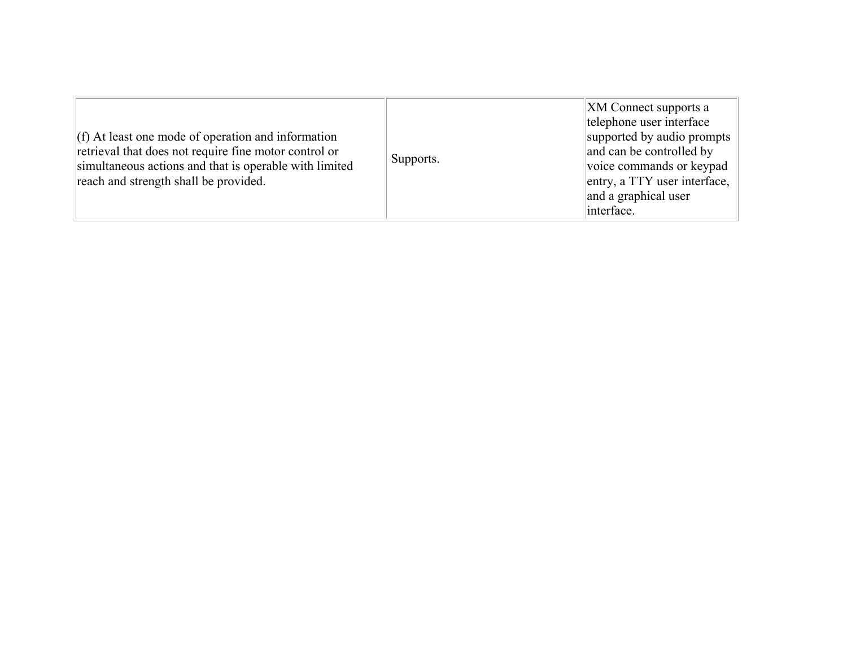| $(f)$ At least one mode of operation and information<br>retrieval that does not require fine motor control or<br>simultaneous actions and that is operable with limited<br>reach and strength shall be provided. | Supports. | <b>XM</b> Connect supports a<br>telephone user interface<br>supported by audio prompts<br>and can be controlled by<br>voice commands or keypad<br>entry, a TTY user interface,<br>and a graphical user<br>interface. |
|------------------------------------------------------------------------------------------------------------------------------------------------------------------------------------------------------------------|-----------|----------------------------------------------------------------------------------------------------------------------------------------------------------------------------------------------------------------------|
|------------------------------------------------------------------------------------------------------------------------------------------------------------------------------------------------------------------|-----------|----------------------------------------------------------------------------------------------------------------------------------------------------------------------------------------------------------------------|